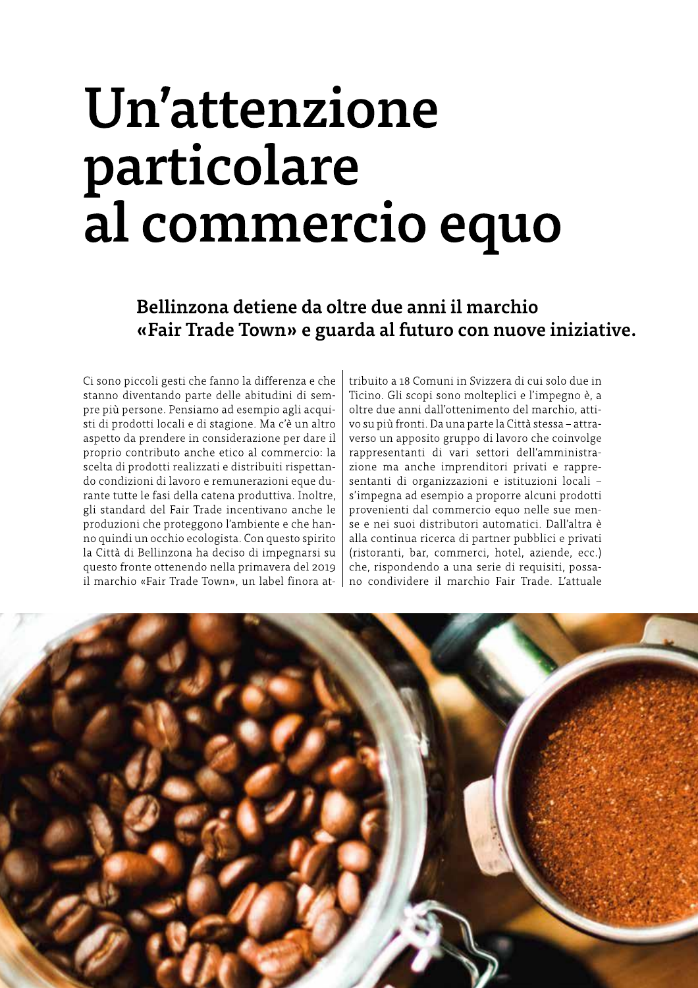# Un'attenzione particolare al commercio equo

## Bellinzona detiene da oltre due anni il marchio «Fair Trade Town» e guarda al futuro con nuove iniziative.

Ci sono piccoli gesti che fanno la differenza e che stanno diventando parte delle abitudini di sempre più persone. Pensiamo ad esempio agli acquisti di prodotti locali e di stagione. Ma c'è un altro aspetto da prendere in considerazione per dare il proprio contributo anche etico al commercio: la scelta di prodotti realizzati e distribuiti rispettando condizioni di lavoro e remunerazioni eque durante tutte le fasi della catena produttiva. Inoltre, gli standard del Fair Trade incentivano anche le produzioni che proteggono l'ambiente e che hanno quindi un occhio ecologista. Con questo spirito la Città di Bellinzona ha deciso di impegnarsi su questo fronte ottenendo nella primavera del 2019 il marchio «Fair Trade Town», un label finora attribuito a 18 Comuni in Svizzera di cui solo due in Ticino. Gli scopi sono molteplici e l'impegno è, a oltre due anni dall'ottenimento del marchio, attivo su più fronti. Da una parte la Città stessa - attraverso un apposito gruppo di lavoro che coinvolge rappresentanti di vari settori dell'amministrazione ma anche imprenditori privati e rappresentanti di organizzazioni e istituzioni locali s'impegna ad esempio a proporre alcuni prodotti provenienti dal commercio equo nelle sue mense e nei suoi distributori automatici. Dall'altra è alla continua ricerca di partner pubblici e privati (ristoranti, bar, commerci, hotel, aziende, ecc.) che, rispondendo a una serie di requisiti, possano condividere il marchio Fair Trade. L'attuale